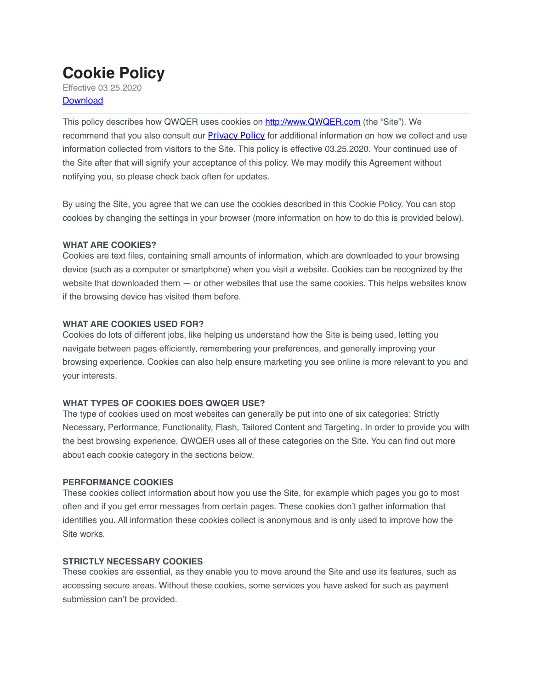# **Cookie Policy**

Effective 03.25.2020 **Download** 

This policy describes how QWQER uses cookies on [http://www.QWQER.com](https://qwqer.com) (the "Site"). We recommend that you also consult our [Privacy Policy](https://qwqer.com/privacy-policy-2/) for additional information on how we collect and use information collected from visitors to the Site. This policy is effective 03.25.2020. Your continued use of the Site after that will signify your acceptance of this policy. We may modify this Agreement without notifying you, so please check back often for updates.

By using the Site, you agree that we can use the cookies described in this Cookie Policy. You can stop cookies by changing the settings in your browser (more information on how to do this is provided below).

## **WHAT ARE COOKIES?**

Cookies are text files, containing small amounts of information, which are downloaded to your browsing device (such as a computer or smartphone) when you visit a website. Cookies can be recognized by the website that downloaded them — or other websites that use the same cookies. This helps websites know if the browsing device has visited them before.

## **WHAT ARE COOKIES USED FOR?**

Cookies do lots of different jobs, like helping us understand how the Site is being used, letting you navigate between pages efficiently, remembering your preferences, and generally improving your browsing experience. Cookies can also help ensure marketing you see online is more relevant to you and your interests.

## **WHAT TYPES OF COOKIES DOES QWQER USE?**

The type of cookies used on most websites can generally be put into one of six categories: Strictly Necessary, Performance, Functionality, Flash, Tailored Content and Targeting. In order to provide you with the best browsing experience, QWQER uses all of these categories on the Site. You can find out more about each cookie category in the sections below.

## **PERFORMANCE COOKIES**

These cookies collect information about how you use the Site, for example which pages you go to most often and if you get error messages from certain pages. These cookies don't gather information that identifies you. All information these cookies collect is anonymous and is only used to improve how the Site works.

## **STRICTLY NECESSARY COOKIES**

These cookies are essential, as they enable you to move around the Site and use its features, such as accessing secure areas. Without these cookies, some services you have asked for such as payment submission can't be provided.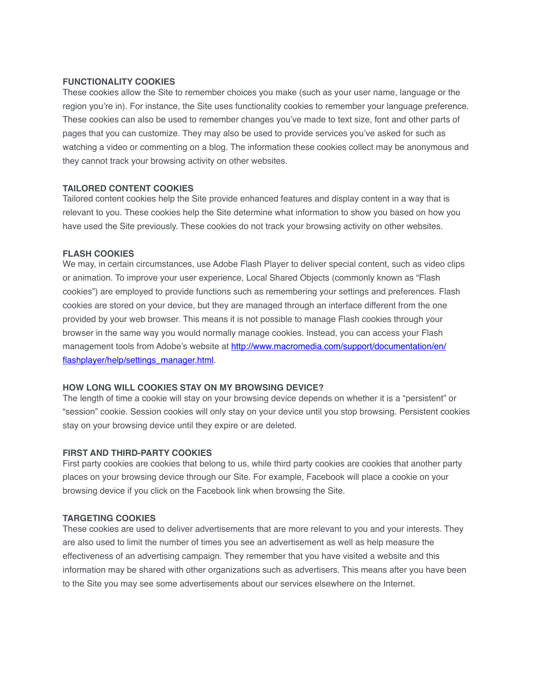### **FUNCTIONALITY COOKIES**

These cookies allow the Site to remember choices you make (such as your user name, language or the region you're in). For instance, the Site uses functionality cookies to remember your language preference. These cookies can also be used to remember changes you've made to text size, font and other parts of pages that you can customize. They may also be used to provide services you've asked for such as watching a video or commenting on a blog. The information these cookies collect may be anonymous and they cannot track your browsing activity on other websites.

#### **TAILORED CONTENT COOKIES**

Tailored content cookies help the Site provide enhanced features and display content in a way that is relevant to you. These cookies help the Site determine what information to show you based on how you have used the Site previously. These cookies do not track your browsing activity on other websites.

#### **FLASH COOKIES**

We may, in certain circumstances, use Adobe Flash Player to deliver special content, such as video clips or animation. To improve your user experience, Local Shared Objects (commonly known as "Flash cookies") are employed to provide functions such as remembering your settings and preferences. Flash cookies are stored on your device, but they are managed through an interface different from the one provided by your web browser. This means it is not possible to manage Flash cookies through your browser in the same way you would normally manage cookies. Instead, you can access your Flash management tools from Adobe's website at [http://www.macromedia.com/support/documentation/en/](http://www.macromedia.com/support/documentation/en/flashplayer/help/settings_manager.html) [flashplayer/help/settings\\_manager.html](http://www.macromedia.com/support/documentation/en/flashplayer/help/settings_manager.html).

#### **HOW LONG WILL COOKIES STAY ON MY BROWSING DEVICE?**

The length of time a cookie will stay on your browsing device depends on whether it is a "persistent" or "session" cookie. Session cookies will only stay on your device until you stop browsing. Persistent cookies stay on your browsing device until they expire or are deleted.

#### **FIRST AND THIRD-PARTY COOKIES**

First party cookies are cookies that belong to us, while third party cookies are cookies that another party places on your browsing device through our Site. For example, Facebook will place a cookie on your browsing device if you click on the Facebook link when browsing the Site.

#### **TARGETING COOKIES**

These cookies are used to deliver advertisements that are more relevant to you and your interests. They are also used to limit the number of times you see an advertisement as well as help measure the effectiveness of an advertising campaign. They remember that you have visited a website and this information may be shared with other organizations such as advertisers. This means after you have been to the Site you may see some advertisements about our services elsewhere on the Internet.